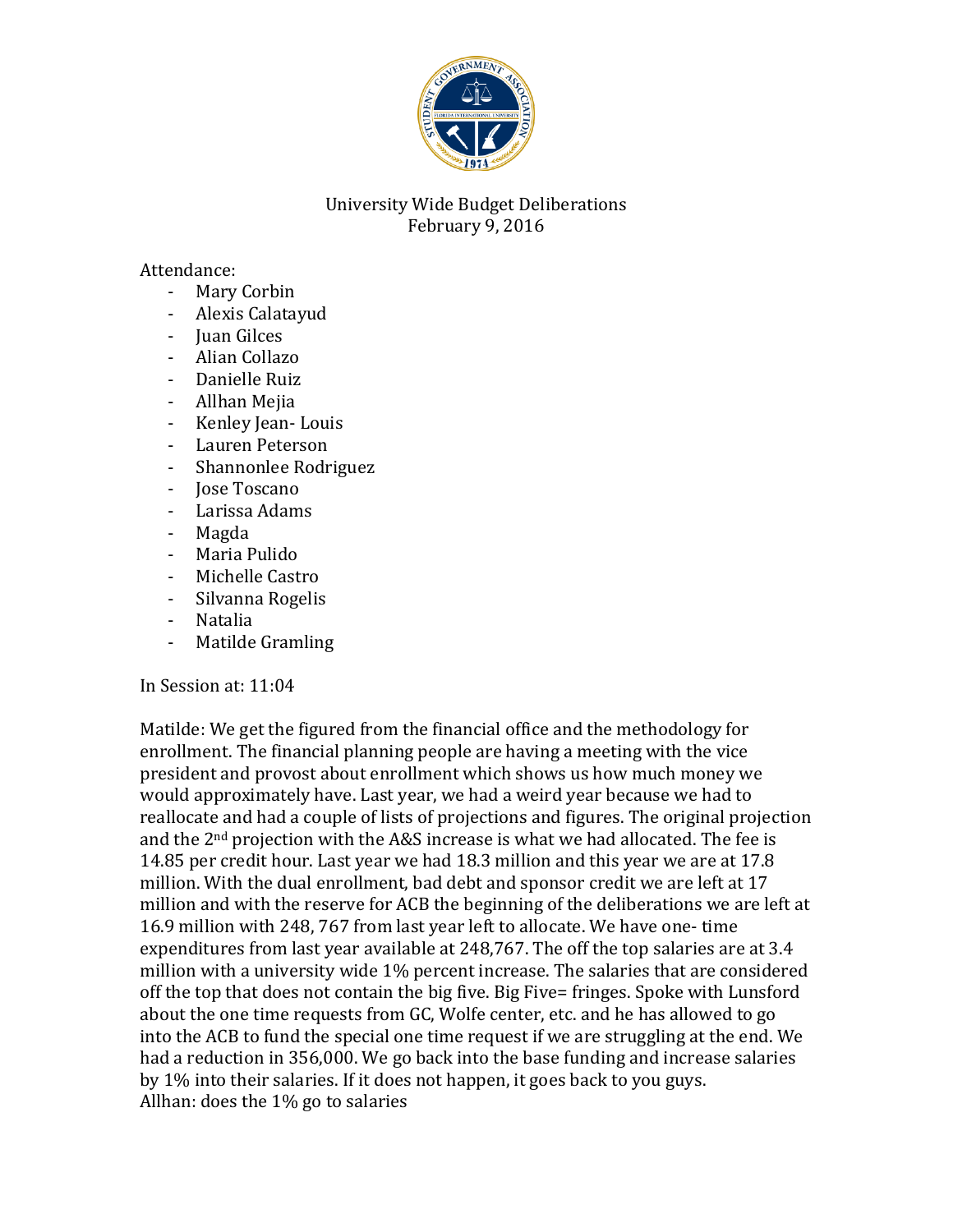

## University Wide Budget Deliberations February 9, 2016

Attendance:

- Mary Corbin
- Alexis Calatayud
- Juan Gilces
- Alian Collazo
- Danielle Ruiz
- Allhan Mejia
- Kenley Jean- Louis
- Lauren Peterson
- Shannonlee Rodriguez
- Jose Toscano
- Larissa Adams
- Magda
- Maria Pulido
- Michelle Castro
- Silvanna Rogelis
- Natalia
- Matilde Gramling

In Session at: 11:04

Matilde: We get the figured from the financial office and the methodology for enrollment. The financial planning people are having a meeting with the vice president and provost about enrollment which shows us how much money we would approximately have. Last year, we had a weird year because we had to reallocate and had a couple of lists of projections and figures. The original projection and the 2nd projection with the A&S increase is what we had allocated. The fee is 14.85 per credit hour. Last year we had 18.3 million and this year we are at 17.8 million. With the dual enrollment, bad debt and sponsor credit we are left at 17 million and with the reserve for ACB the beginning of the deliberations we are left at 16.9 million with 248, 767 from last year left to allocate. We have one- time expenditures from last year available at 248,767. The off the top salaries are at 3.4 million with a university wide 1% percent increase. The salaries that are considered off the top that does not contain the big five. Big Five= fringes. Spoke with Lunsford about the one time requests from GC, Wolfe center, etc. and he has allowed to go into the ACB to fund the special one time request if we are struggling at the end. We had a reduction in 356,000. We go back into the base funding and increase salaries by 1% into their salaries. If it does not happen, it goes back to you guys. Allhan: does the 1% go to salaries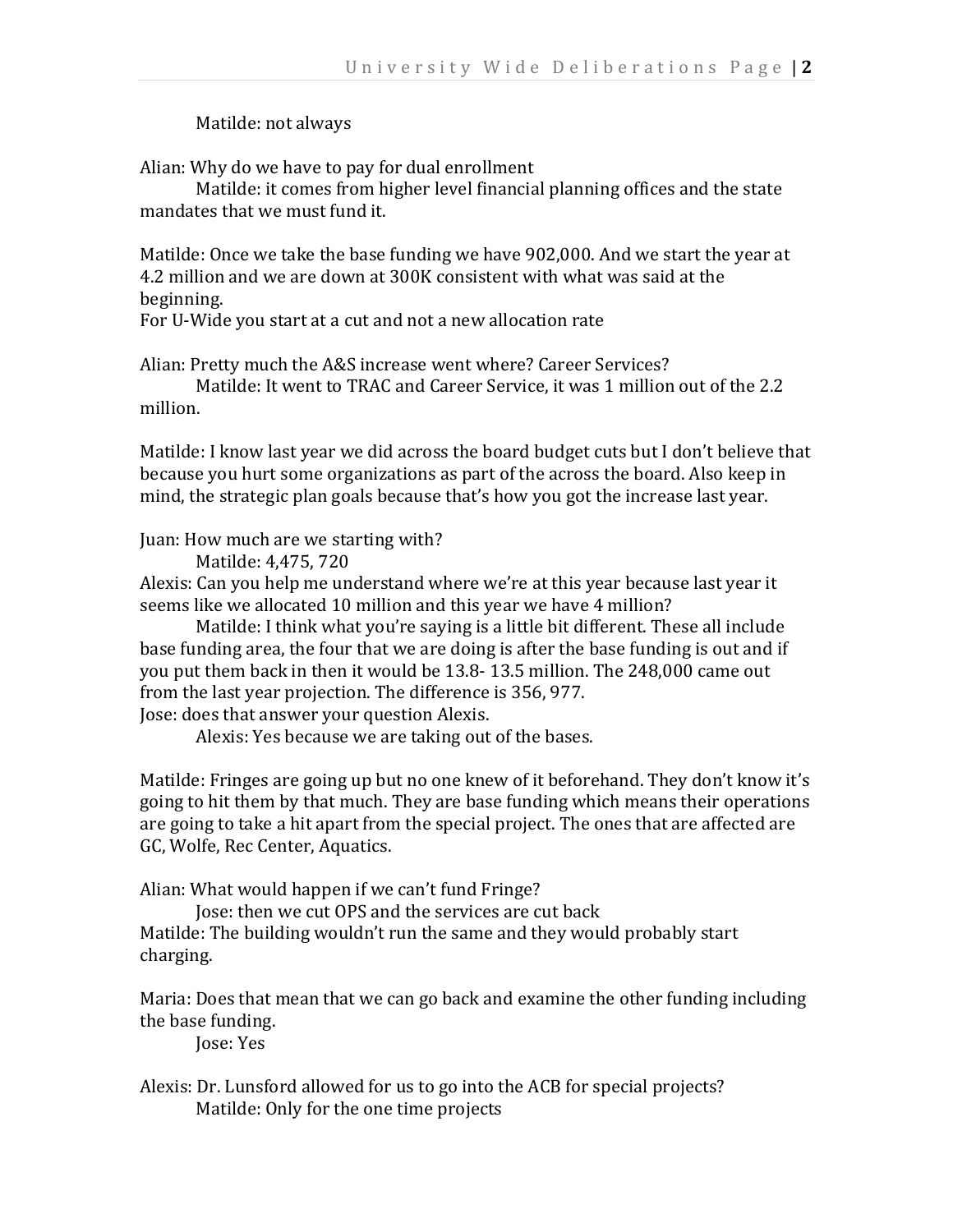## Matilde: not always

Alian: Why do we have to pay for dual enrollment

Matilde: it comes from higher level financial planning offices and the state mandates that we must fund it.

Matilde: Once we take the base funding we have 902,000. And we start the year at 4.2 million and we are down at 300K consistent with what was said at the beginning.

For U-Wide you start at a cut and not a new allocation rate

Alian: Pretty much the A&S increase went where? Career Services?

Matilde: It went to TRAC and Career Service, it was 1 million out of the 2.2 million.

Matilde: I know last year we did across the board budget cuts but I don't believe that because you hurt some organizations as part of the across the board. Also keep in mind, the strategic plan goals because that's how you got the increase last year.

Juan: How much are we starting with?

Matilde: 4,475, 720

Alexis: Can you help me understand where we're at this year because last year it seems like we allocated 10 million and this year we have 4 million?

Matilde: I think what you're saying is a little bit different. These all include base funding area, the four that we are doing is after the base funding is out and if you put them back in then it would be 13.8- 13.5 million. The 248,000 came out from the last year projection. The difference is 356, 977. Jose: does that answer your question Alexis.

Alexis: Yes because we are taking out of the bases.

Matilde: Fringes are going up but no one knew of it beforehand. They don't know it's going to hit them by that much. They are base funding which means their operations are going to take a hit apart from the special project. The ones that are affected are GC, Wolfe, Rec Center, Aquatics.

Alian: What would happen if we can't fund Fringe?

Jose: then we cut OPS and the services are cut back Matilde: The building wouldn't run the same and they would probably start charging.

Maria: Does that mean that we can go back and examine the other funding including the base funding.

Jose: Yes

Alexis: Dr. Lunsford allowed for us to go into the ACB for special projects? Matilde: Only for the one time projects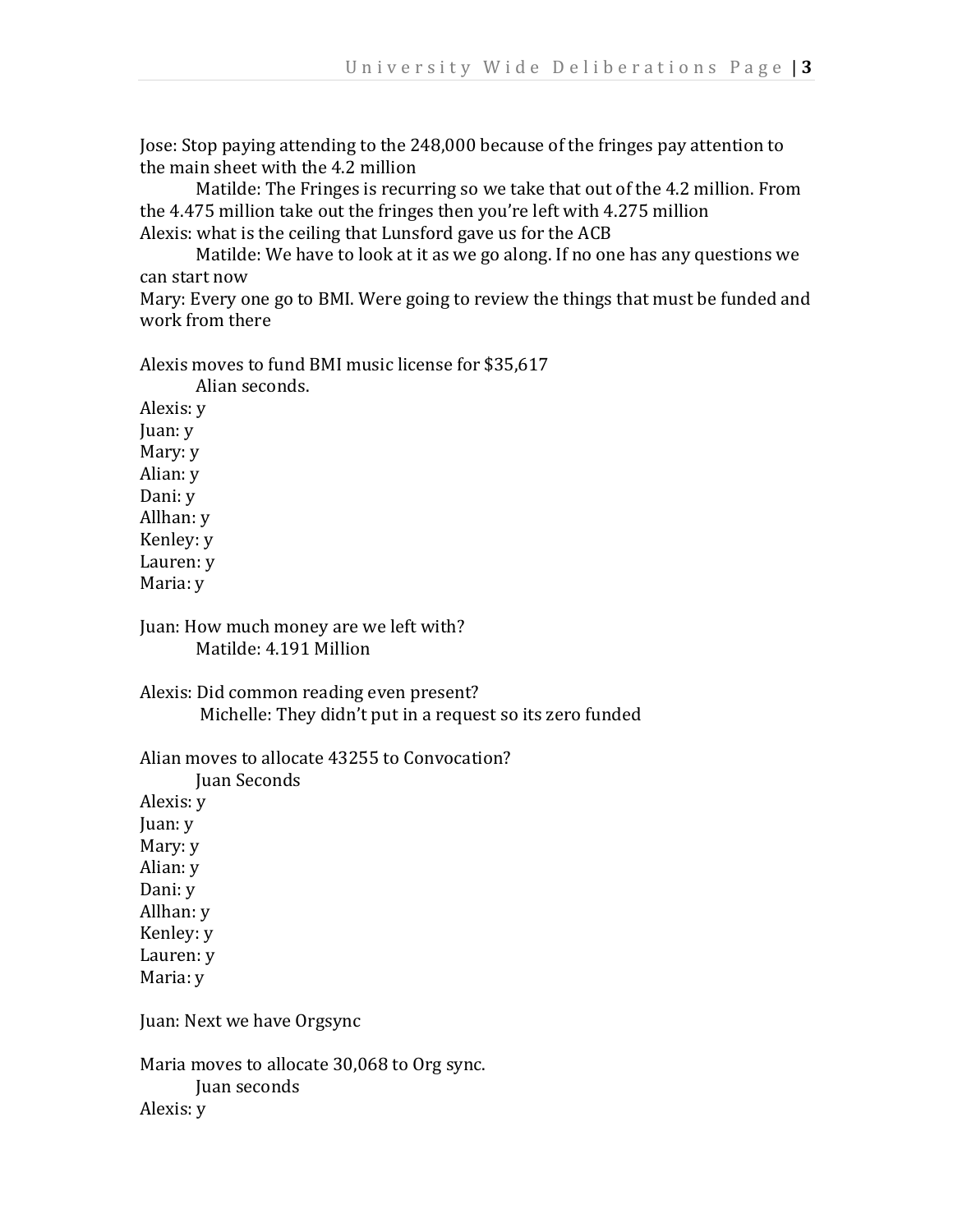Jose: Stop paying attending to the 248,000 because of the fringes pay attention to the main sheet with the 4.2 million

Matilde: The Fringes is recurring so we take that out of the 4.2 million. From the 4.475 million take out the fringes then you're left with 4.275 million Alexis: what is the ceiling that Lunsford gave us for the ACB

Matilde: We have to look at it as we go along. If no one has any questions we can start now

Mary: Every one go to BMI. Were going to review the things that must be funded and work from there

Alexis moves to fund BMI music license for \$35,617

Alian seconds. Alexis: y Juan: y Mary: y Alian: y Dani: y Allhan: y Kenley: y Lauren: y Maria: y

Juan: How much money are we left with? Matilde: 4.191 Million

Alexis: Did common reading even present? Michelle: They didn't put in a request so its zero funded

Alian moves to allocate 43255 to Convocation? Juan Seconds Alexis: y Juan: y Mary: y Alian: y Dani: y Allhan: y Kenley: y Lauren: y Maria: y Juan: Next we have Orgsync

Maria moves to allocate 30,068 to Org sync. Juan seconds Alexis: y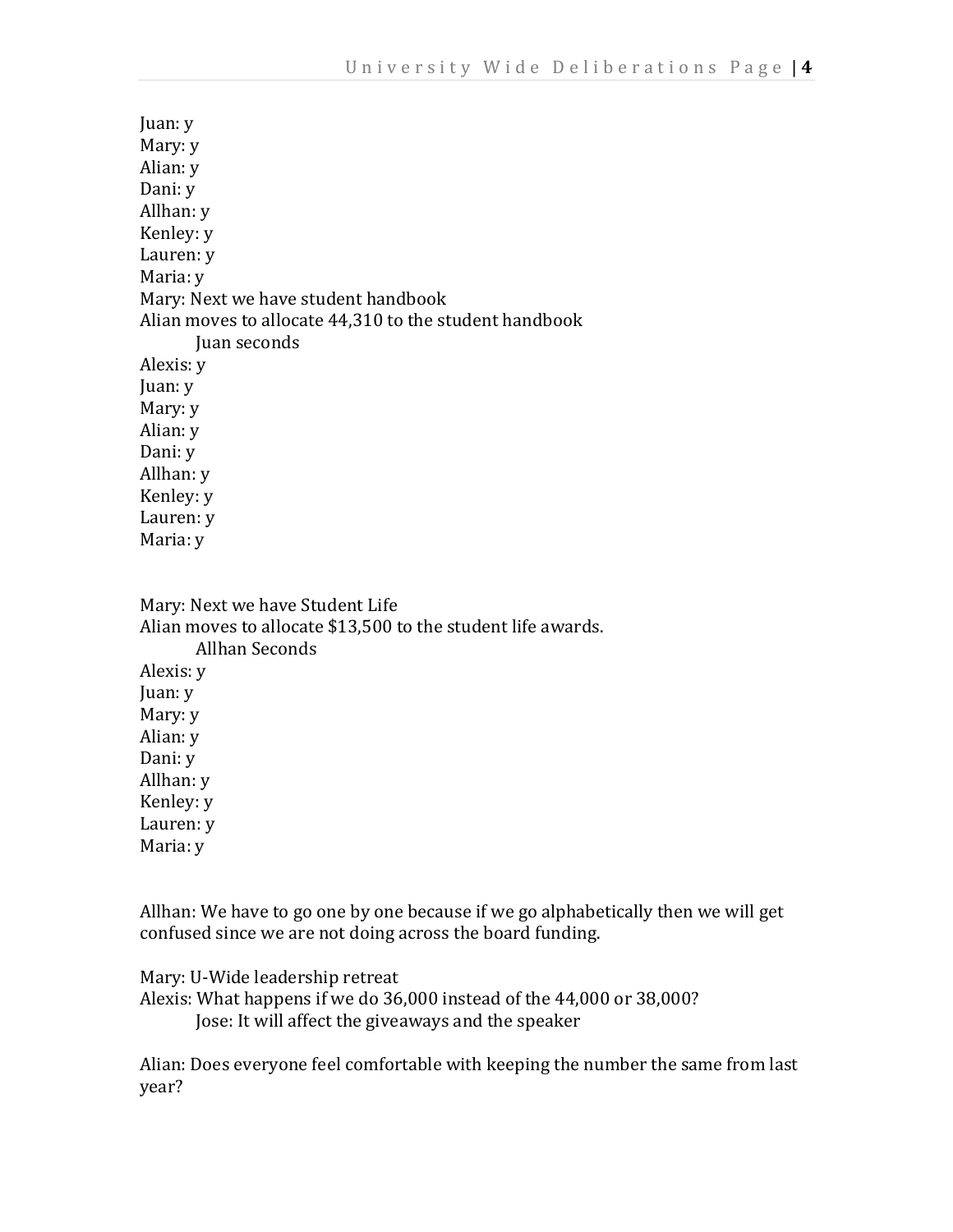| Juan: y                                                |
|--------------------------------------------------------|
| Mary: y                                                |
| Alian: y                                               |
| Dani: y                                                |
| Allhan: y                                              |
| Kenley: y                                              |
| Lauren: y                                              |
| Maria: y                                               |
| Mary: Next we have student handbook                    |
| Alian moves to allocate 44,310 to the student handbook |
| Juan seconds                                           |
|                                                        |
| Alexis: y                                              |
| Juan: y                                                |
| Mary: y                                                |
| Alian: y                                               |
| Dani: y                                                |
| Allhan: y                                              |
| Kenley: y                                              |
| Lauren: y                                              |
| Maria: y                                               |

Mary: Next we have Student Life Alian moves to allocate \$13,500 to the student life awards. Allhan Seconds Alexis: y Juan: y Mary: y Alian: y Dani: y Allhan: y Kenley: y Lauren: y Maria: y

Allhan: We have to go one by one because if we go alphabetically then we will get confused since we are not doing across the board funding.

Mary: U-Wide leadership retreat

Alexis: What happens if we do 36,000 instead of the 44,000 or 38,000? Jose: It will affect the giveaways and the speaker

Alian: Does everyone feel comfortable with keeping the number the same from last year?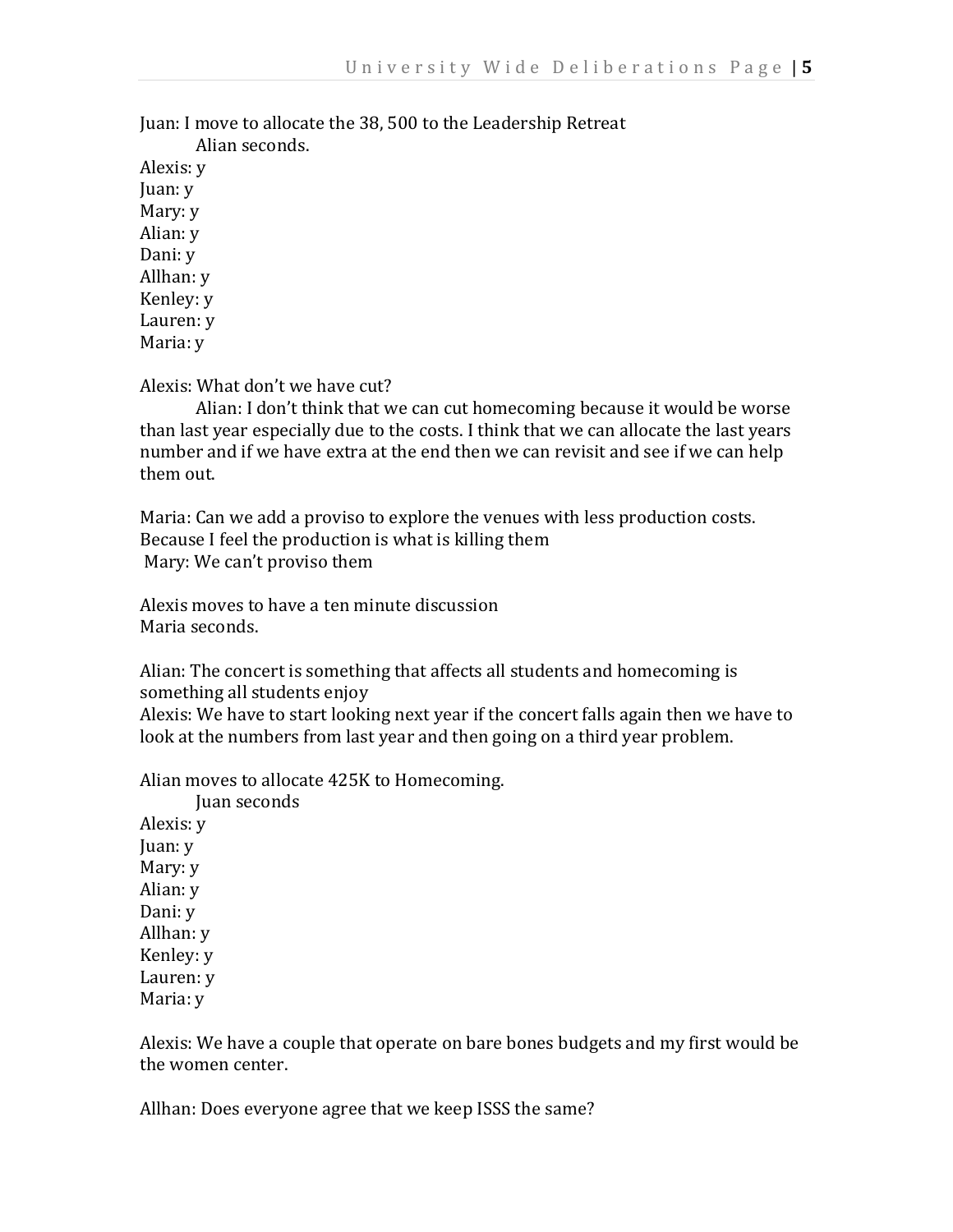Juan: I move to allocate the 38, 500 to the Leadership Retreat

Alian seconds. Alexis: y Juan: y Mary: y Alian: y Dani: y Allhan: y Kenley: y Lauren: y Maria: y

Alexis: What don't we have cut?

Alian: I don't think that we can cut homecoming because it would be worse than last year especially due to the costs. I think that we can allocate the last years number and if we have extra at the end then we can revisit and see if we can help them out.

Maria: Can we add a proviso to explore the venues with less production costs. Because I feel the production is what is killing them Mary: We can't proviso them

Alexis moves to have a ten minute discussion Maria seconds.

Alian: The concert is something that affects all students and homecoming is something all students enjoy

Alexis: We have to start looking next year if the concert falls again then we have to look at the numbers from last year and then going on a third year problem.

Alian moves to allocate 425K to Homecoming.

Juan seconds Alexis: y Juan: y Mary: y Alian: y Dani: y Allhan: y Kenley: y Lauren: y Maria: y

Alexis: We have a couple that operate on bare bones budgets and my first would be the women center.

Allhan: Does everyone agree that we keep ISSS the same?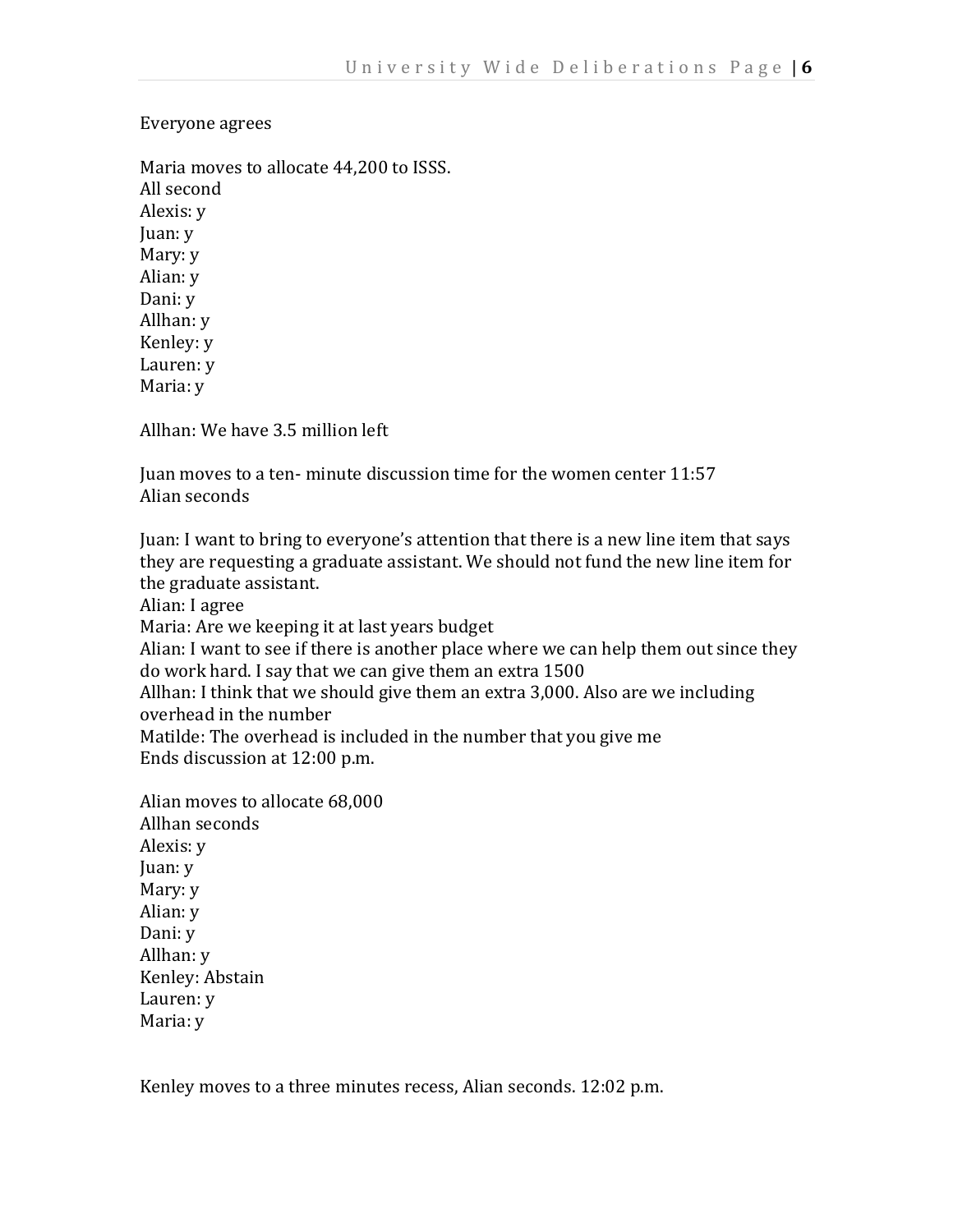## Everyone agrees

Maria moves to allocate 44,200 to ISSS. All second Alexis: y Juan: y Mary: y Alian: y Dani: y Allhan: y Kenley: y Lauren: y Maria: y

Allhan: We have 3.5 million left

Juan moves to a ten- minute discussion time for the women center 11:57 Alian seconds

Juan: I want to bring to everyone's attention that there is a new line item that says they are requesting a graduate assistant. We should not fund the new line item for the graduate assistant.

Alian: I agree

Maria: Are we keeping it at last years budget

Alian: I want to see if there is another place where we can help them out since they do work hard. I say that we can give them an extra 1500

Allhan: I think that we should give them an extra 3,000. Also are we including overhead in the number

Matilde: The overhead is included in the number that you give me Ends discussion at 12:00 p.m.

Alian moves to allocate 68,000 Allhan seconds Alexis: y Juan: y Mary: y Alian: y Dani: y Allhan: y Kenley: Abstain Lauren: y Maria: y

Kenley moves to a three minutes recess, Alian seconds. 12:02 p.m.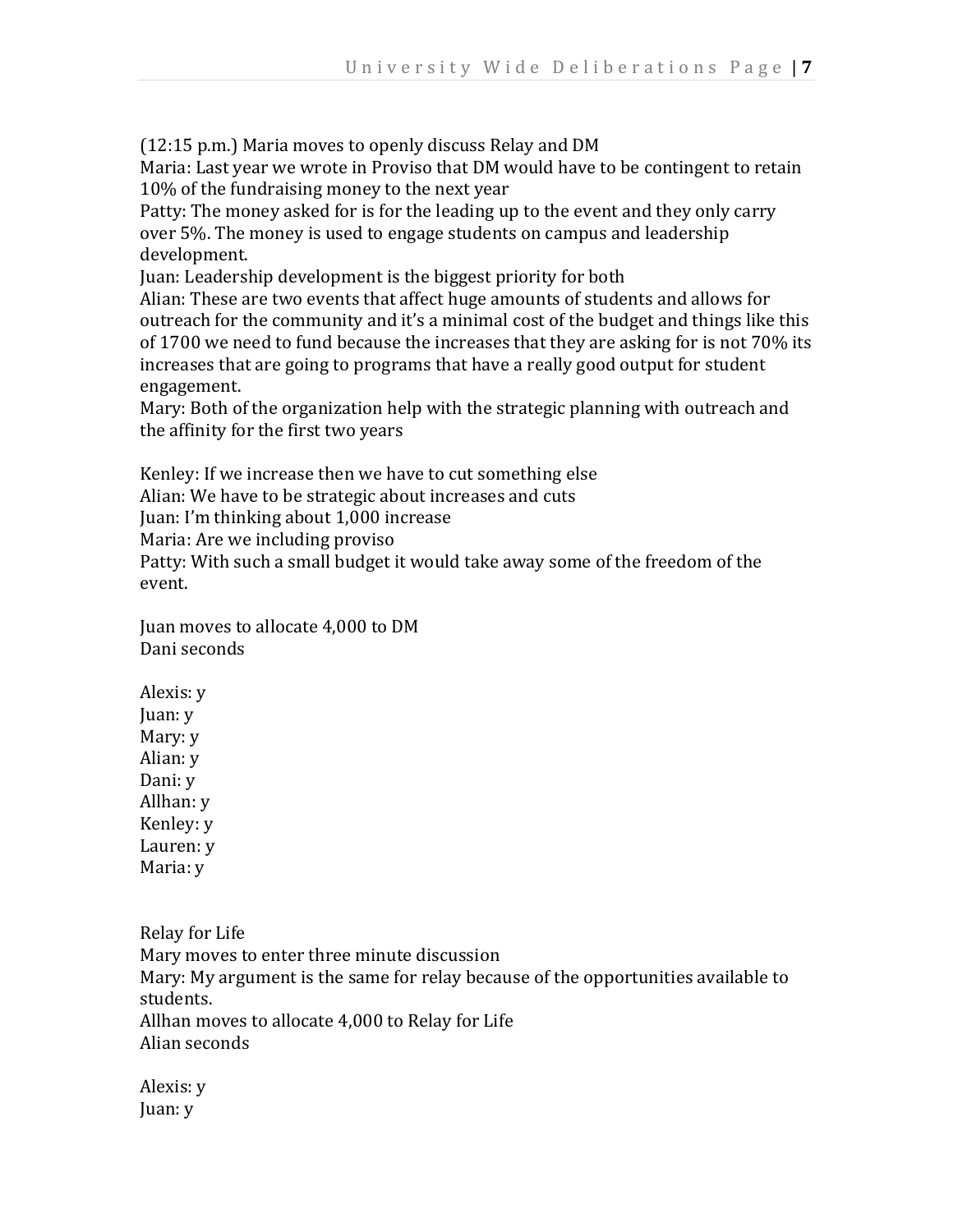(12:15 p.m.) Maria moves to openly discuss Relay and DM

Maria: Last year we wrote in Proviso that DM would have to be contingent to retain 10% of the fundraising money to the next year

Patty: The money asked for is for the leading up to the event and they only carry over 5%. The money is used to engage students on campus and leadership development.

Juan: Leadership development is the biggest priority for both

Alian: These are two events that affect huge amounts of students and allows for outreach for the community and it's a minimal cost of the budget and things like this of 1700 we need to fund because the increases that they are asking for is not 70% its increases that are going to programs that have a really good output for student engagement.

Mary: Both of the organization help with the strategic planning with outreach and the affinity for the first two years

Kenley: If we increase then we have to cut something else Alian: We have to be strategic about increases and cuts Juan: I'm thinking about 1,000 increase Maria: Are we including proviso Patty: With such a small budget it would take away some of the freedom of the event.

Juan moves to allocate 4,000 to DM Dani seconds

Alexis: y Juan: y Mary: y Alian: y Dani: y Allhan: y Kenley: y Lauren: y Maria: y

Relay for Life Mary moves to enter three minute discussion Mary: My argument is the same for relay because of the opportunities available to students. Allhan moves to allocate 4,000 to Relay for Life Alian seconds

Alexis: y Juan: y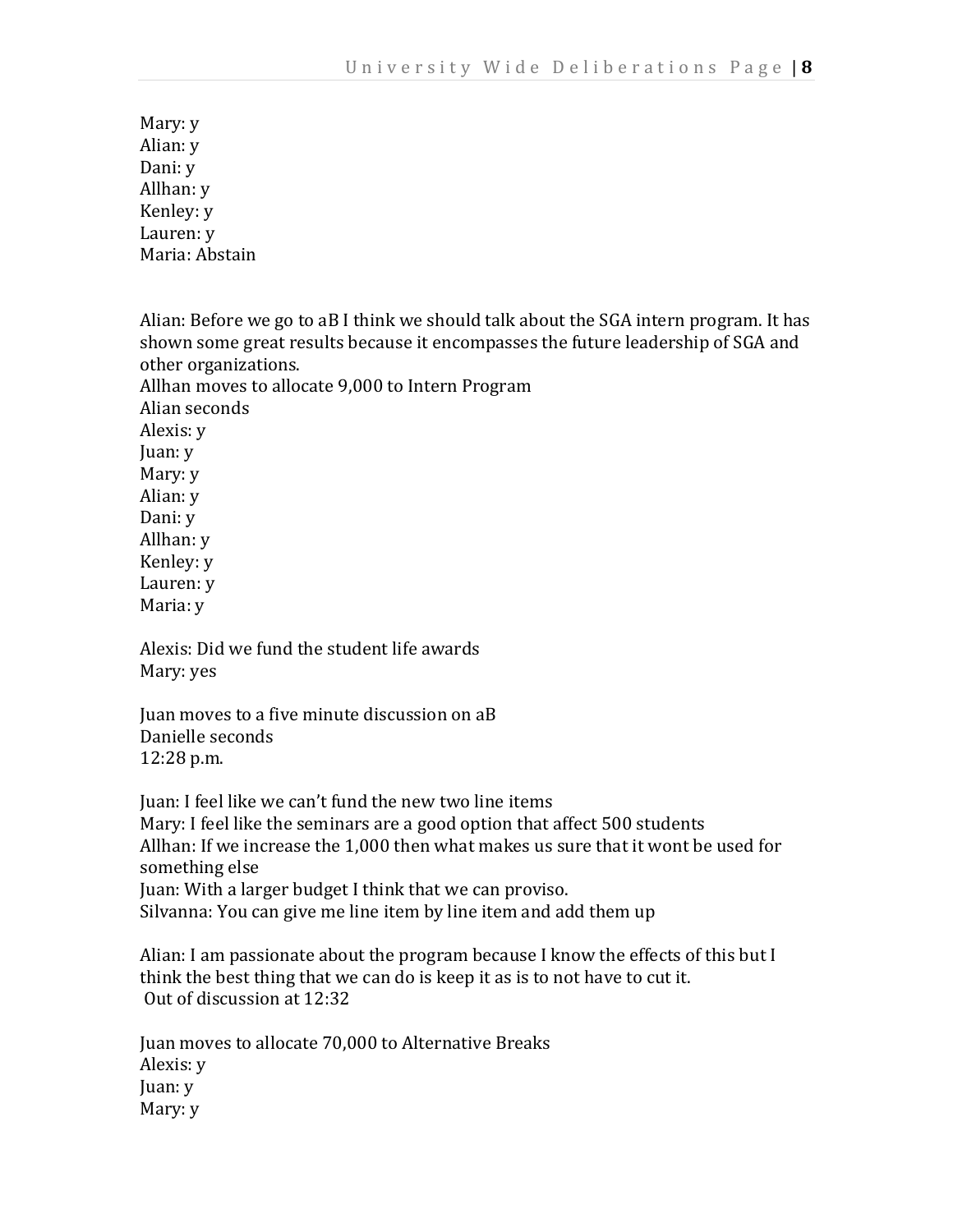Mary: y Alian: y Dani: y Allhan: y Kenley: y Lauren: y Maria: Abstain

Alian: Before we go to aB I think we should talk about the SGA intern program. It has shown some great results because it encompasses the future leadership of SGA and other organizations. Allhan moves to allocate 9,000 to Intern Program Alian seconds Alexis: y Juan: y Mary: y Alian: y Dani: y Allhan: y Kenley: y Lauren: y Maria: y

Alexis: Did we fund the student life awards Mary: yes

Juan moves to a five minute discussion on aB Danielle seconds 12:28 p.m.

Juan: I feel like we can't fund the new two line items Mary: I feel like the seminars are a good option that affect 500 students Allhan: If we increase the 1,000 then what makes us sure that it wont be used for something else Juan: With a larger budget I think that we can proviso. Silvanna: You can give me line item by line item and add them up

Alian: I am passionate about the program because I know the effects of this but I think the best thing that we can do is keep it as is to not have to cut it. Out of discussion at 12:32

Juan moves to allocate 70,000 to Alternative Breaks Alexis: y Juan: y Mary: y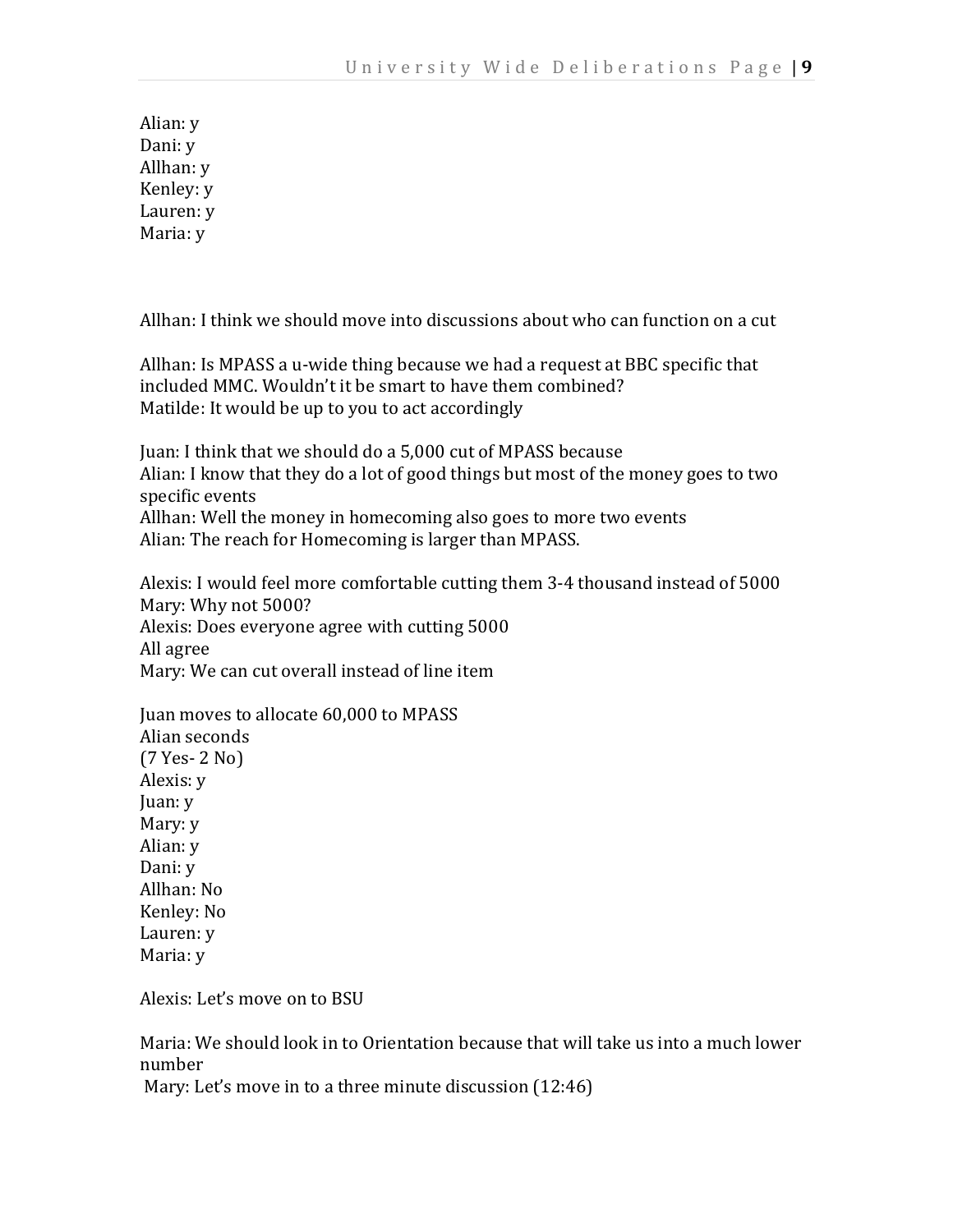Alian: y Dani: y Allhan: y Kenley: y Lauren: y Maria: y

Allhan: I think we should move into discussions about who can function on a cut

Allhan: Is MPASS a u-wide thing because we had a request at BBC specific that included MMC. Wouldn't it be smart to have them combined? Matilde: It would be up to you to act accordingly

Juan: I think that we should do a 5,000 cut of MPASS because Alian: I know that they do a lot of good things but most of the money goes to two specific events Allhan: Well the money in homecoming also goes to more two events Alian: The reach for Homecoming is larger than MPASS.

Alexis: I would feel more comfortable cutting them 3-4 thousand instead of 5000 Mary: Why not 5000? Alexis: Does everyone agree with cutting 5000 All agree Mary: We can cut overall instead of line item

Juan moves to allocate 60,000 to MPASS Alian seconds (7 Yes- 2 No) Alexis: y Juan: y Mary: y Alian: y Dani: y Allhan: No Kenley: No Lauren: y Maria: y

Alexis: Let's move on to BSU

Maria: We should look in to Orientation because that will take us into a much lower number Mary: Let's move in to a three minute discussion (12:46)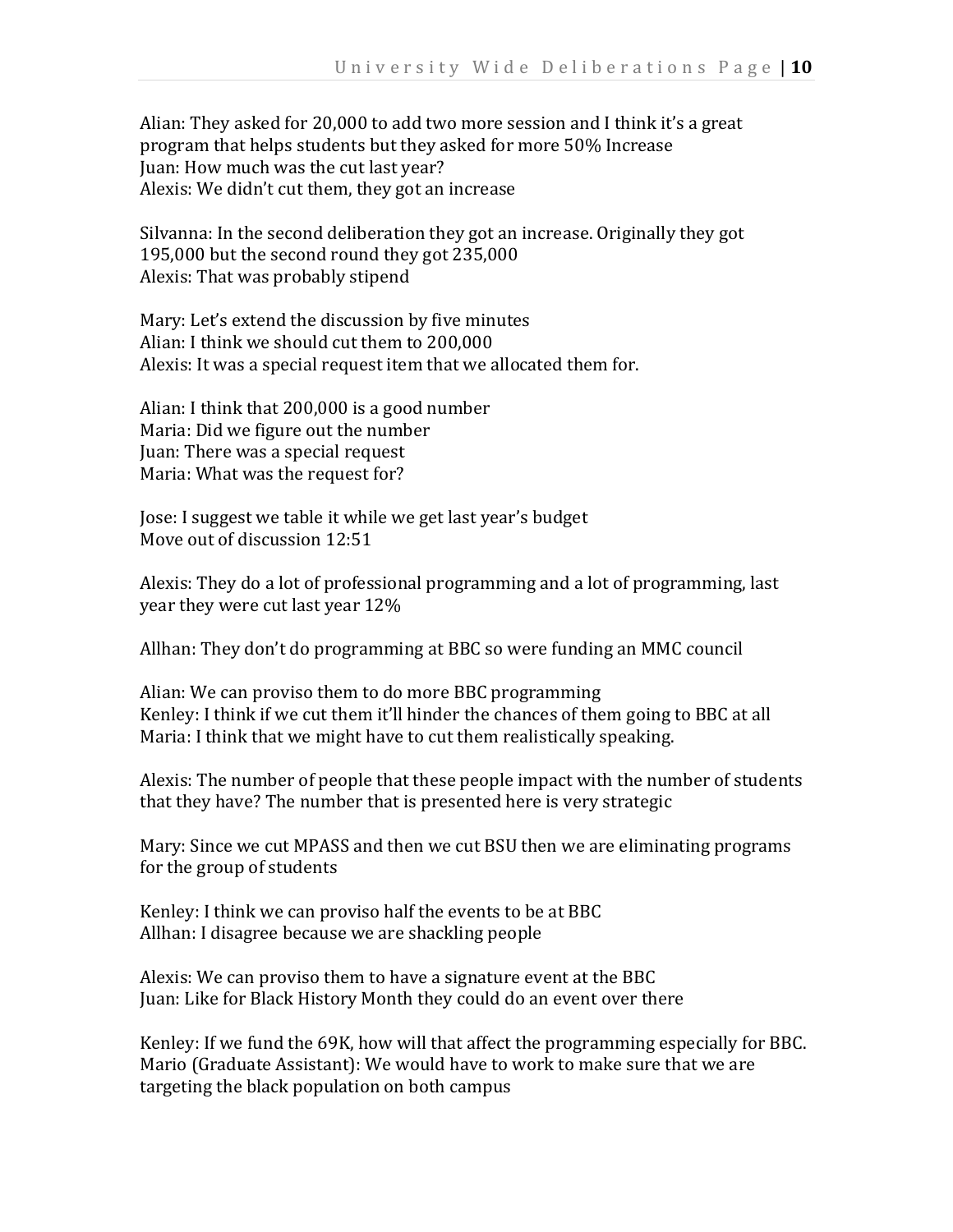Alian: They asked for 20,000 to add two more session and I think it's a great program that helps students but they asked for more 50% Increase Juan: How much was the cut last year? Alexis: We didn't cut them, they got an increase

Silvanna: In the second deliberation they got an increase. Originally they got 195,000 but the second round they got 235,000 Alexis: That was probably stipend

Mary: Let's extend the discussion by five minutes Alian: I think we should cut them to 200,000 Alexis: It was a special request item that we allocated them for.

Alian: I think that 200,000 is a good number Maria: Did we figure out the number Juan: There was a special request Maria: What was the request for?

Jose: I suggest we table it while we get last year's budget Move out of discussion 12:51

Alexis: They do a lot of professional programming and a lot of programming, last year they were cut last year 12%

Allhan: They don't do programming at BBC so were funding an MMC council

Alian: We can proviso them to do more BBC programming Kenley: I think if we cut them it'll hinder the chances of them going to BBC at all Maria: I think that we might have to cut them realistically speaking.

Alexis: The number of people that these people impact with the number of students that they have? The number that is presented here is very strategic

Mary: Since we cut MPASS and then we cut BSU then we are eliminating programs for the group of students

Kenley: I think we can proviso half the events to be at BBC Allhan: I disagree because we are shackling people

Alexis: We can proviso them to have a signature event at the BBC Juan: Like for Black History Month they could do an event over there

Kenley: If we fund the 69K, how will that affect the programming especially for BBC. Mario (Graduate Assistant): We would have to work to make sure that we are targeting the black population on both campus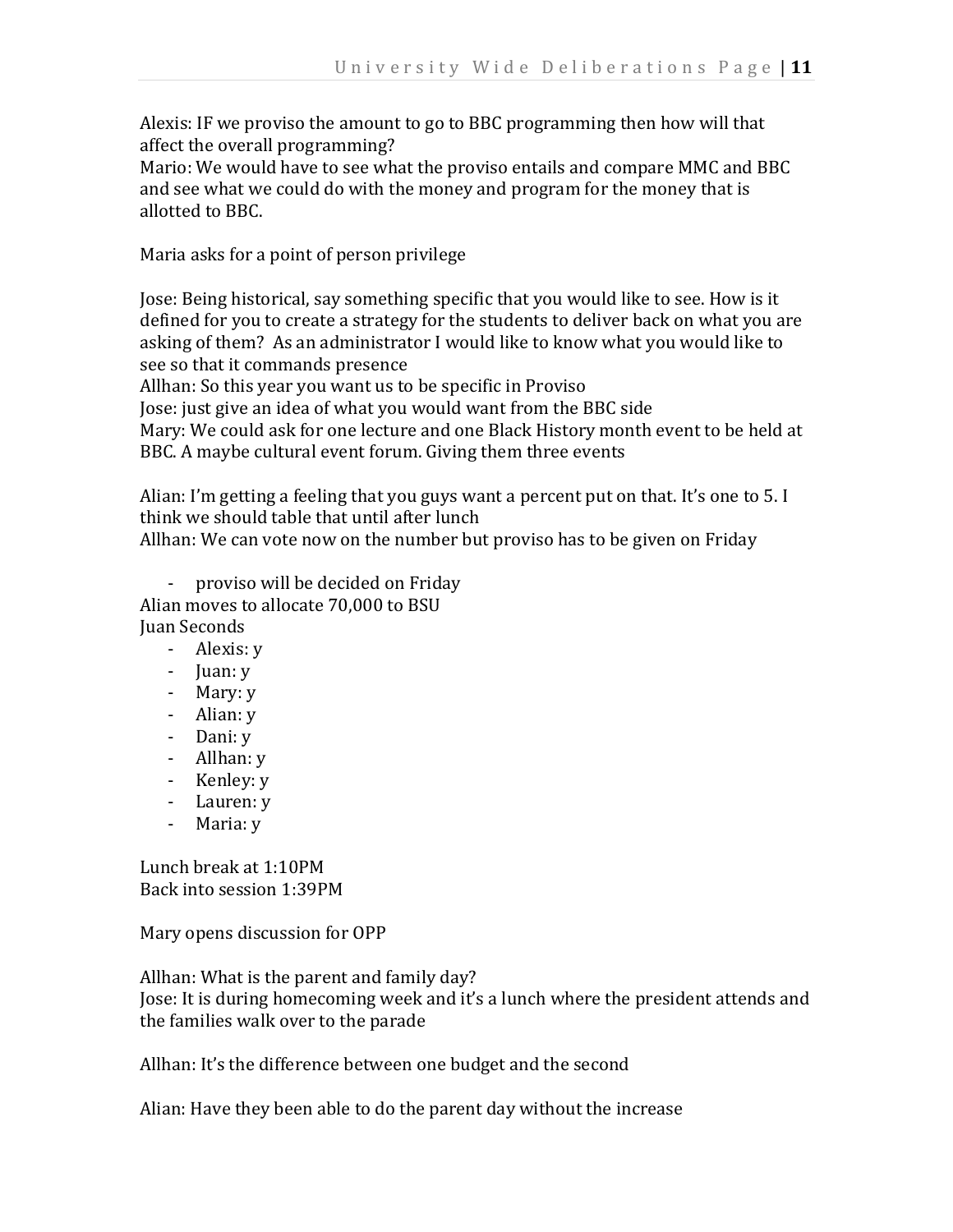Alexis: IF we proviso the amount to go to BBC programming then how will that affect the overall programming?

Mario: We would have to see what the proviso entails and compare MMC and BBC and see what we could do with the money and program for the money that is allotted to BBC.

Maria asks for a point of person privilege

Jose: Being historical, say something specific that you would like to see. How is it defined for you to create a strategy for the students to deliver back on what you are asking of them? As an administrator I would like to know what you would like to see so that it commands presence

Allhan: So this year you want us to be specific in Proviso

Jose: just give an idea of what you would want from the BBC side

Mary: We could ask for one lecture and one Black History month event to be held at BBC. A maybe cultural event forum. Giving them three events

Alian: I'm getting a feeling that you guys want a percent put on that. It's one to 5. I think we should table that until after lunch Allhan: We can vote now on the number but proviso has to be given on Friday

- proviso will be decided on Friday

Alian moves to allocate 70,000 to BSU Juan Seconds

- Alexis: y
- Juan: y
- Mary: y
- Alian: y
- Dani: y
- Allhan: y
- Kenley: y
- Lauren: y
- Maria: y

Lunch break at 1:10PM Back into session 1:39PM

Mary opens discussion for OPP

Allhan: What is the parent and family day?

Jose: It is during homecoming week and it's a lunch where the president attends and the families walk over to the parade

Allhan: It's the difference between one budget and the second

Alian: Have they been able to do the parent day without the increase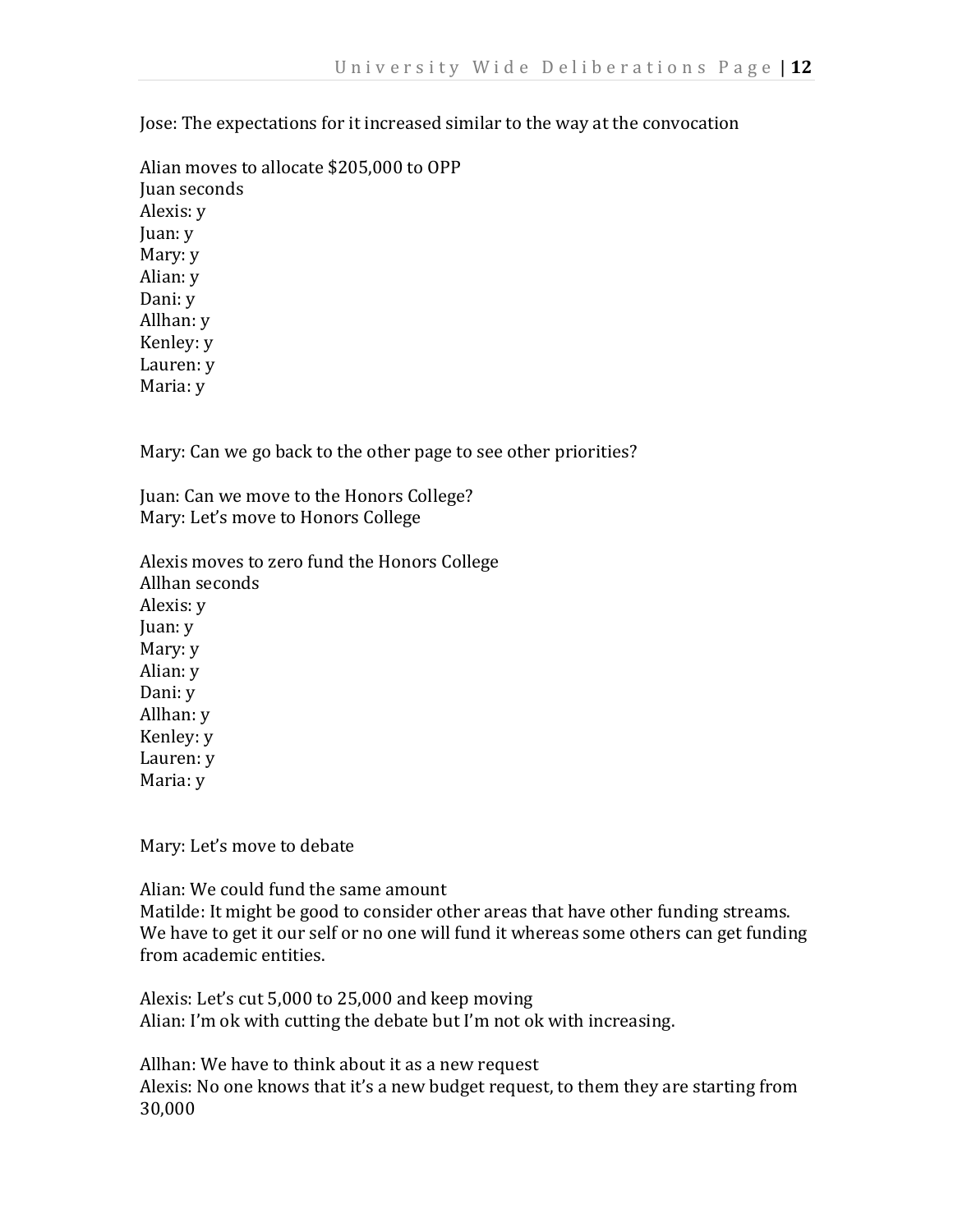Jose: The expectations for it increased similar to the way at the convocation

Alian moves to allocate \$205,000 to OPP Juan seconds Alexis: y Juan: y Mary: y Alian: y Dani: y Allhan: y Kenley: y Lauren: y Maria: y

Mary: Can we go back to the other page to see other priorities?

Juan: Can we move to the Honors College? Mary: Let's move to Honors College

Alexis moves to zero fund the Honors College Allhan seconds Alexis: y Juan: y Mary: y Alian: y Dani: y Allhan: y Kenley: y Lauren: y Maria: y

Mary: Let's move to debate

Alian: We could fund the same amount Matilde: It might be good to consider other areas that have other funding streams. We have to get it our self or no one will fund it whereas some others can get funding from academic entities.

Alexis: Let's cut 5,000 to 25,000 and keep moving Alian: I'm ok with cutting the debate but I'm not ok with increasing.

Allhan: We have to think about it as a new request Alexis: No one knows that it's a new budget request, to them they are starting from 30,000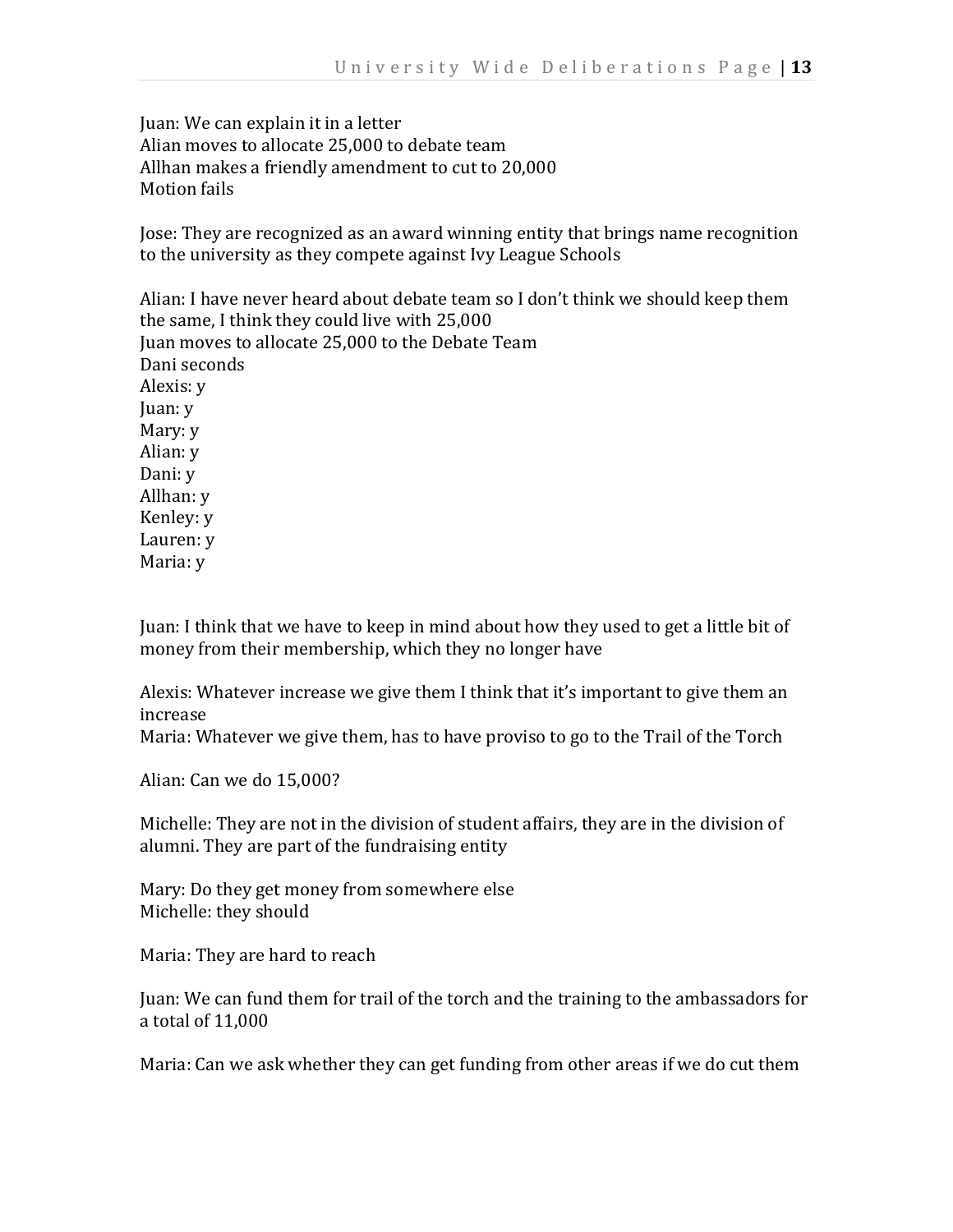Juan: We can explain it in a letter Alian moves to allocate 25,000 to debate team Allhan makes a friendly amendment to cut to 20,000 Motion fails

Jose: They are recognized as an award winning entity that brings name recognition to the university as they compete against Ivy League Schools

Alian: I have never heard about debate team so I don't think we should keep them the same, I think they could live with 25,000 Juan moves to allocate 25,000 to the Debate Team Dani seconds Alexis: y Juan: y Mary: y Alian: y Dani: y Allhan: y Kenley: y Lauren: y Maria: y

Juan: I think that we have to keep in mind about how they used to get a little bit of money from their membership, which they no longer have

Alexis: Whatever increase we give them I think that it's important to give them an increase

Maria: Whatever we give them, has to have proviso to go to the Trail of the Torch

Alian: Can we do 15,000?

Michelle: They are not in the division of student affairs, they are in the division of alumni. They are part of the fundraising entity

Mary: Do they get money from somewhere else Michelle: they should

Maria: They are hard to reach

Juan: We can fund them for trail of the torch and the training to the ambassadors for a total of 11,000

Maria: Can we ask whether they can get funding from other areas if we do cut them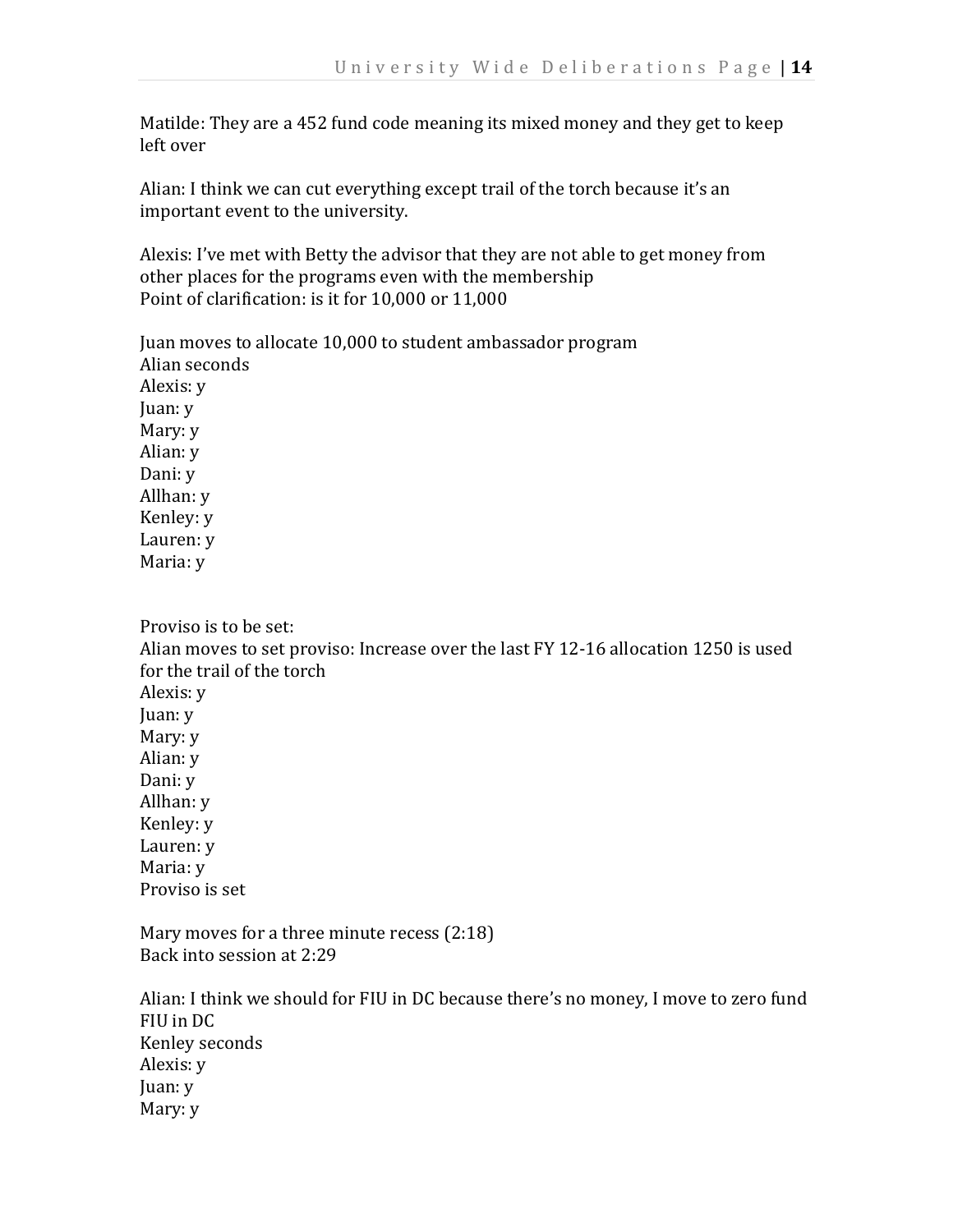Matilde: They are a 452 fund code meaning its mixed money and they get to keep left over

Alian: I think we can cut everything except trail of the torch because it's an important event to the university.

Alexis: I've met with Betty the advisor that they are not able to get money from other places for the programs even with the membership Point of clarification: is it for 10,000 or 11,000

Juan moves to allocate 10,000 to student ambassador program Alian seconds Alexis: y Juan: y Mary: y Alian: y Dani: y Allhan: y Kenley: y Lauren: y Maria: y

Proviso is to be set: Alian moves to set proviso: Increase over the last FY 12-16 allocation 1250 is used for the trail of the torch Alexis: y Juan: y Mary: y Alian: y Dani: y Allhan: y Kenley: y Lauren: y Maria: y Proviso is set

Mary moves for a three minute recess (2:18) Back into session at 2:29

Alian: I think we should for FIU in DC because there's no money, I move to zero fund FIU in DC Kenley seconds Alexis: y Juan: y Mary: y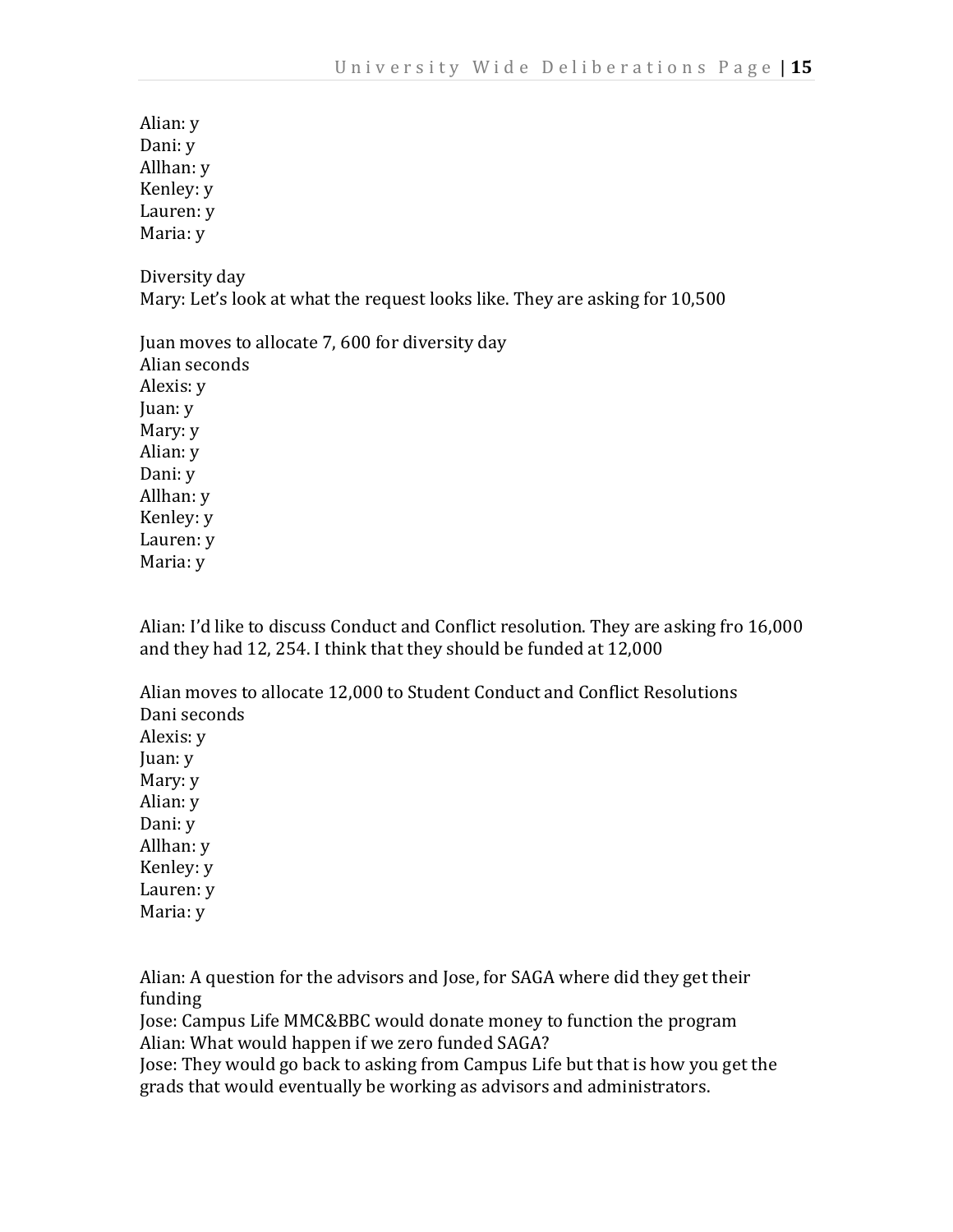Alian: y Dani: y Allhan: y Kenley: y Lauren: y Maria: y

Diversity day Mary: Let's look at what the request looks like. They are asking for 10,500

Juan moves to allocate 7, 600 for diversity day Alian seconds Alexis: y Juan: y Mary: y Alian: y Dani: y Allhan: y Kenley: y Lauren: y Maria: y

Alian: I'd like to discuss Conduct and Conflict resolution. They are asking fro 16,000 and they had 12, 254. I think that they should be funded at 12,000

Alian moves to allocate 12,000 to Student Conduct and Conflict Resolutions Dani seconds Alexis: y Juan: y Mary: y Alian: y Dani: y Allhan: y Kenley: y Lauren: y Maria: y

Alian: A question for the advisors and Jose, for SAGA where did they get their funding

Jose: Campus Life MMC&BBC would donate money to function the program Alian: What would happen if we zero funded SAGA?

Jose: They would go back to asking from Campus Life but that is how you get the grads that would eventually be working as advisors and administrators.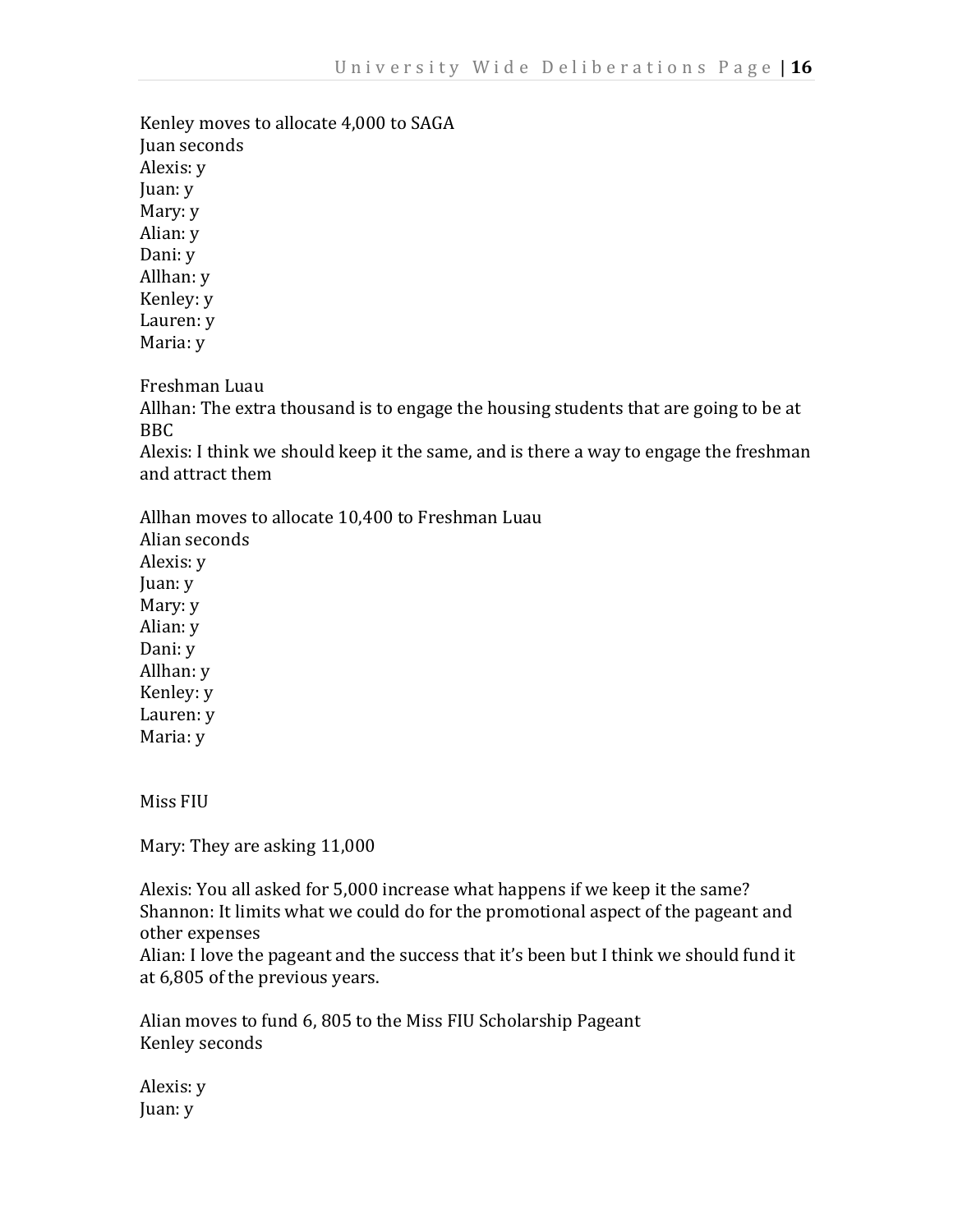Kenley moves to allocate 4,000 to SAGA Juan seconds Alexis: y Juan: y Mary: y Alian: y Dani: y Allhan: y Kenley: y Lauren: y Maria: y

Freshman Luau

Allhan: The extra thousand is to engage the housing students that are going to be at BBC

Alexis: I think we should keep it the same, and is there a way to engage the freshman and attract them

Allhan moves to allocate 10,400 to Freshman Luau Alian seconds Alexis: y Juan: y Mary: y Alian: y Dani: y Allhan: y Kenley: y Lauren: y Maria: y

Miss FIU

Mary: They are asking 11,000

Alexis: You all asked for 5,000 increase what happens if we keep it the same? Shannon: It limits what we could do for the promotional aspect of the pageant and other expenses

Alian: I love the pageant and the success that it's been but I think we should fund it at 6,805 of the previous years.

Alian moves to fund 6, 805 to the Miss FIU Scholarship Pageant Kenley seconds

Alexis: y Juan: y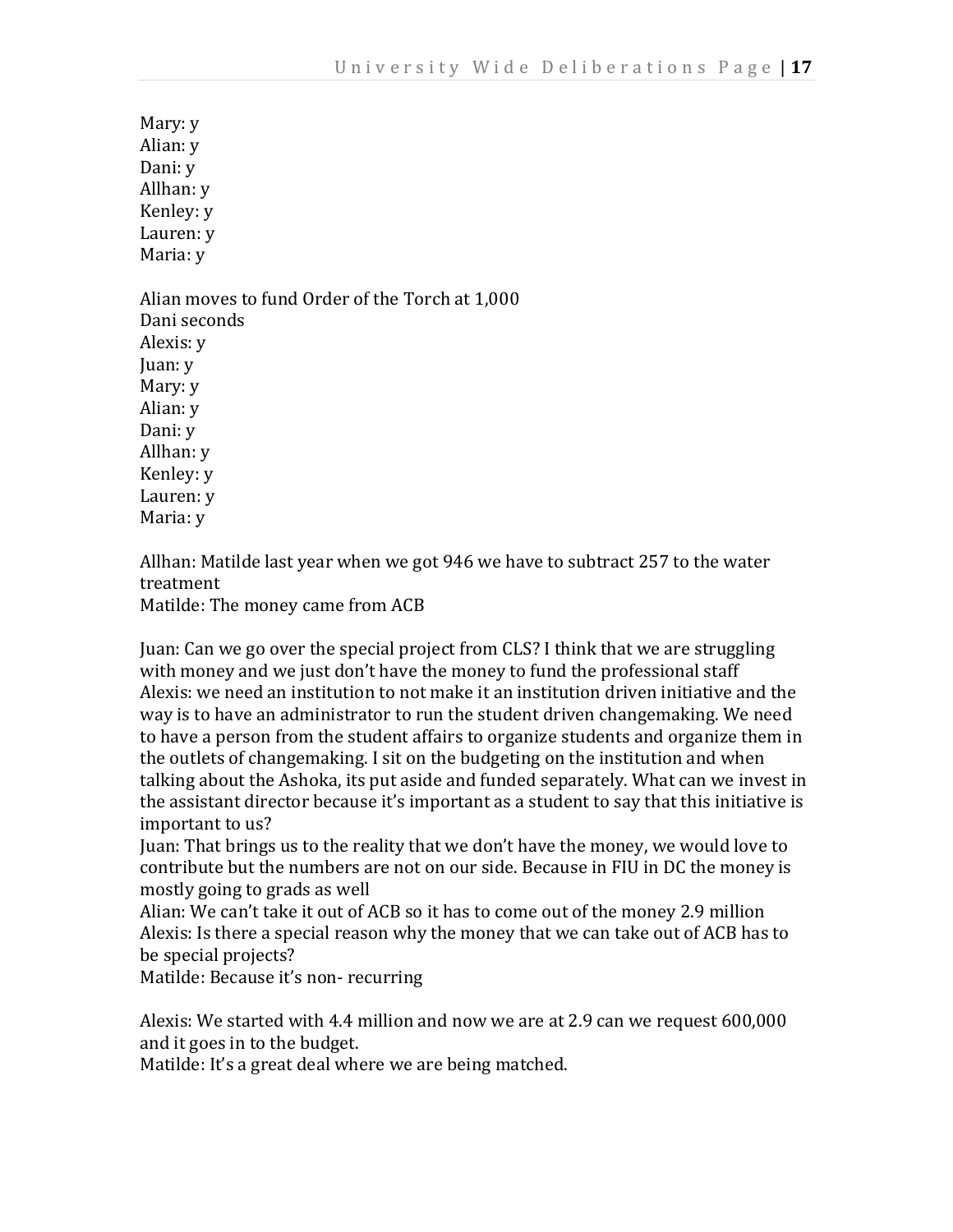Mary: y Alian: y Dani: y Allhan: y Kenley: y Lauren: y Maria: y

Alian moves to fund Order of the Torch at 1,000 Dani seconds Alexis: y Juan: y Mary: y Alian: y Dani: y Allhan: y Kenley: y Lauren: y Maria: y

Allhan: Matilde last year when we got 946 we have to subtract 257 to the water treatment

Matilde: The money came from ACB

Juan: Can we go over the special project from CLS? I think that we are struggling with money and we just don't have the money to fund the professional staff Alexis: we need an institution to not make it an institution driven initiative and the way is to have an administrator to run the student driven changemaking. We need to have a person from the student affairs to organize students and organize them in the outlets of changemaking. I sit on the budgeting on the institution and when talking about the Ashoka, its put aside and funded separately. What can we invest in the assistant director because it's important as a student to say that this initiative is important to us?

Juan: That brings us to the reality that we don't have the money, we would love to contribute but the numbers are not on our side. Because in FIU in DC the money is mostly going to grads as well

Alian: We can't take it out of ACB so it has to come out of the money 2.9 million Alexis: Is there a special reason why the money that we can take out of ACB has to be special projects?

Matilde: Because it's non- recurring

Alexis: We started with 4.4 million and now we are at 2.9 can we request 600,000 and it goes in to the budget.

Matilde: It's a great deal where we are being matched.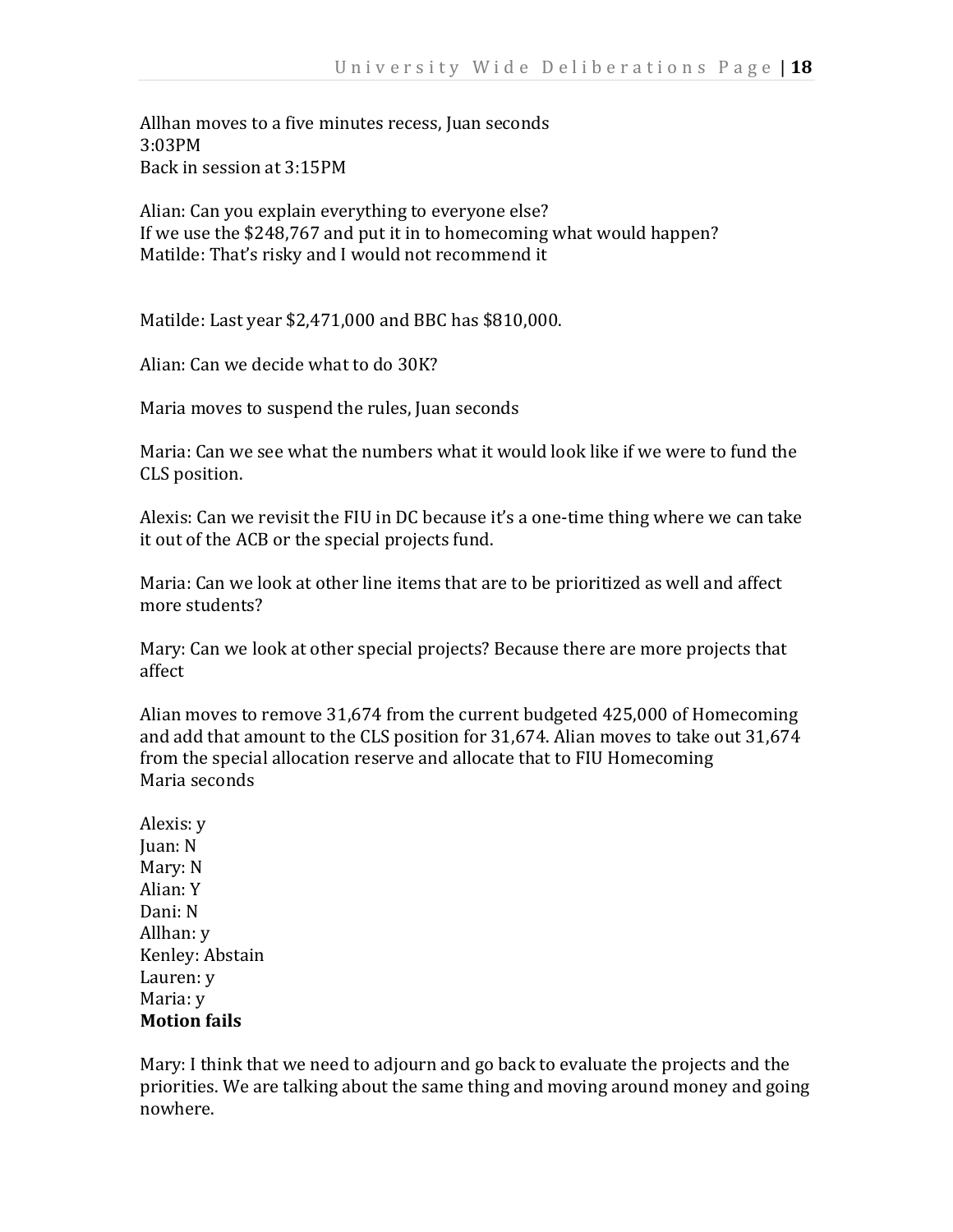Allhan moves to a five minutes recess, Juan seconds 3:03PM Back in session at 3:15PM

Alian: Can you explain everything to everyone else? If we use the \$248,767 and put it in to homecoming what would happen? Matilde: That's risky and I would not recommend it

Matilde: Last year \$2,471,000 and BBC has \$810,000.

Alian: Can we decide what to do 30K?

Maria moves to suspend the rules, Juan seconds

Maria: Can we see what the numbers what it would look like if we were to fund the CLS position.

Alexis: Can we revisit the FIU in DC because it's a one-time thing where we can take it out of the ACB or the special projects fund.

Maria: Can we look at other line items that are to be prioritized as well and affect more students?

Mary: Can we look at other special projects? Because there are more projects that affect

Alian moves to remove 31,674 from the current budgeted 425,000 of Homecoming and add that amount to the CLS position for 31,674. Alian moves to take out 31,674 from the special allocation reserve and allocate that to FIU Homecoming Maria seconds

Alexis: y Juan: N Mary: N Alian: Y Dani: N Allhan: y Kenley: Abstain Lauren: y Maria: y **Motion fails** 

Mary: I think that we need to adjourn and go back to evaluate the projects and the priorities. We are talking about the same thing and moving around money and going nowhere.